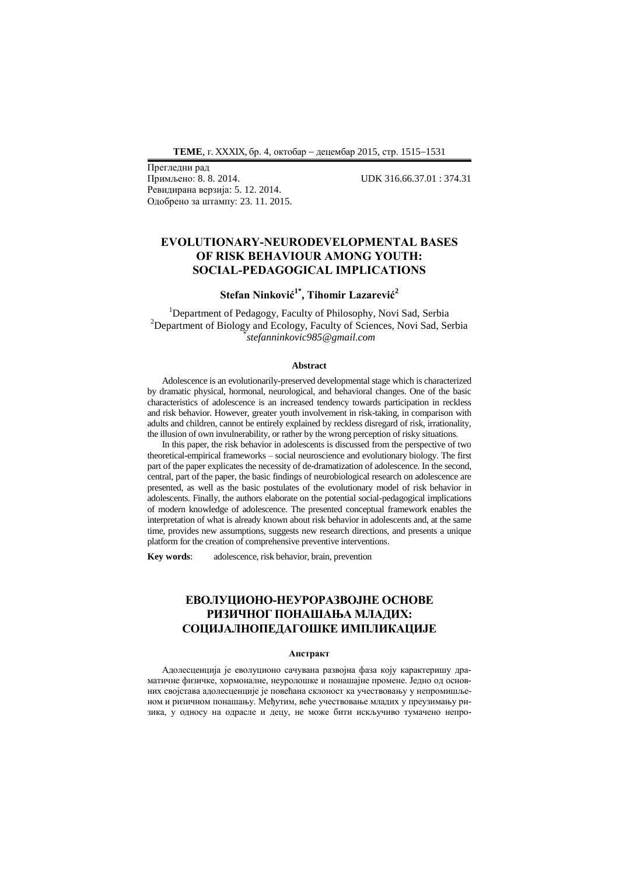Прегледни рад Ревидирана верзија: 5. 12. 2014. Одобрено за штампу: 23. 11. 2015.

Примљено: 8. 8. 2014. UDK 316.66.37.01 : 374.31

# **EVOLUTIONARY-NEURODEVELOPMENTAL BASES OF RISK BEHAVIOUR AMONG YOUTH: SOCIAL-PEDAGOGICAL IMPLICATIONS**

# **Stefan Ninković1\* , Tihomir Lazarević<sup>2</sup>**

<sup>1</sup>Department of Pedagogy, Faculty of Philosophy, Novi Sad, Serbia <sup>2</sup>Department of Biology and Ecology, Faculty of Sciences, Novi Sad, Serbia \* *stefanninkovic985@gmail.com*

#### **Abstract**

Adolescence is an evolutionarily-preserved developmental stage which is characterized by dramatic physical, hormonal, neurological, and behavioral changes. One of the basic characteristics of adolescence is an increased tendency towards participation in reckless and risk behavior. However, greater youth involvement in risk-taking, in comparison with adults and children, cannot be entirely explained by reckless disregard of risk, irrationality, the illusion of own invulnerability, or rather by the wrong perception of risky situations.

In this paper, the risk behavior in adolescents is discussed from the perspective of two theoretical-empirical frameworks – social neuroscience and evolutionary biology. The first part of the paper explicates the necessity of de-dramatization of adolescence. In the second, central, part of the paper, the basic findings of neurobiological research on adolescence are presented, as well as the basic postulates of the evolutionary model of risk behavior in adolescents. Finally, the authors elaborate on the potential social-pedagogical implications of modern knowledge of adolescence. The presented conceptual framework enables the interpretation of what is already known about risk behavior in adolescents and, at the same time, provides new assumptions, suggests new research directions, and presents a unique platform for the creation of comprehensive preventive interventions.

**Key words**: adolescence, risk behavior, brain, prevention

# **ЕВОЛУЦИОНО-НЕУРОРАЗВОЈНЕ ОСНОВЕ РИЗИЧНОГ ПОНАШАЊА МЛАДИХ: СОЦИЈАЛНОПЕДАГОШКЕ ИМПЛИКАЦИЈЕ**

#### **Апстракт**

Адолесценција је еволуционо сачувана развојна фаза коју карактеришу драматичне физичке, хормоналне, неуролошке и понашајне промене. Једно од основних својстава адолесценције је повећана склоност ка учествовању у непромишљеном и ризичном понашању. Међутим, веће учествовање младих у преузимању ризика, у односу на одрасле и децу, не може бити искључиво тумачено непро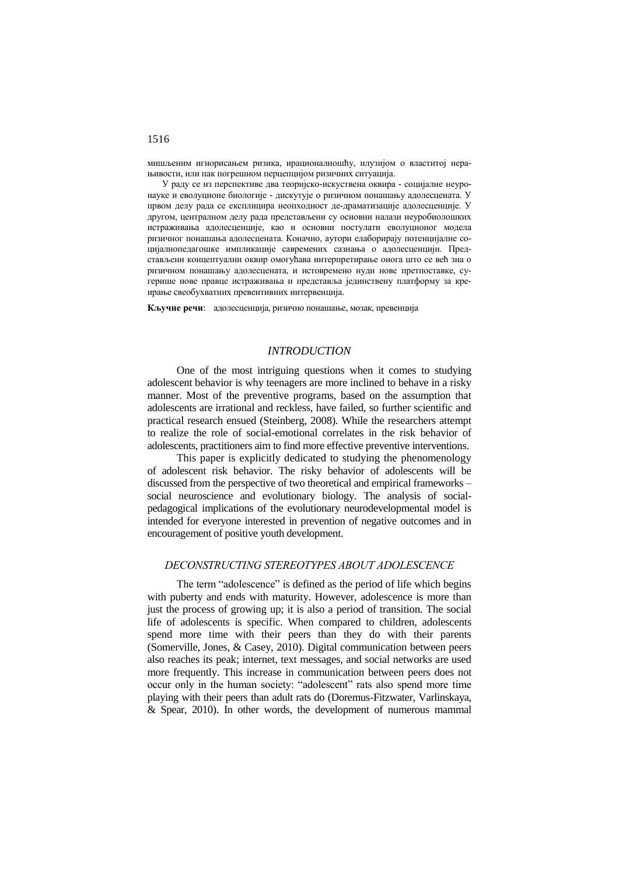мишљеним игнорисањем ризика, ирационалношћу, илузијом о властитој нерањивости, или пак погрешном перцепцијом ризичних ситуација.

У раду се из перспективе два теоријско-искуствена оквира - социјалне неуронауке и еволуционе биологије - дискутује о ризичном понашању адолесцената. У првом делу рада се експлицира неопходност де-драматизације адолесценције. У другом, централном делу рада представљени су основни налази неуробиолошких истраживања адолесценције, као и основни постулати еволуционог модела ризичног понашања адолесцената. Коначно, аутори елаборирају потенцијалне социјалнопедагошке импликације савремених сазнања о адолесценцији. Представљени концептуални оквир омогућава интерпретирање онога што се већ зна о ризичном понашању адолесцената, и истовремено нуди нове претпоставке, сугерише нове правце истраживања и представља јединствену платформу за креирање свеобухватних превентивних интервенција.

**Кључне речи**: адолесценција, ризично понашање, мозак, превенција

## *INTRODUCTION*

One of the most intriguing questions when it comes to studying adolescent behavior is why teenagers are more inclined to behave in a risky manner. Most of the preventive programs, based on the assumption that adolescents are irrational and reckless, have failed, so further scientific and practical research ensued (Steinberg, 2008). While the researchers attempt to realize the role of social-emotional correlates in the risk behavior of adolescents, practitioners aim to find more effective preventive interventions.

This paper is explicitly dedicated to studying the phenomenology of adolescent risk behavior. The risky behavior of adolescents will be discussed from the perspective of two theoretical and empirical frameworks – social neuroscience and evolutionary biology. The analysis of socialpedagogical implications of the evolutionary neurodevelopmental model is intended for everyone interested in prevention of negative outcomes and in encouragement of positive youth development.

## *DECONSTRUCTING STEREOTYPES ABOUT ADOLESCENCE*

The term "adolescence" is defined as the period of life which begins with puberty and ends with maturity. However, adolescence is more than just the process of growing up; it is also a period of transition. The social life of adolescents is specific. When compared to children, adolescents spend more time with their peers than they do with their parents (Somerville, Jones, & Casey, 2010). Digital communication between peers also reaches its peak; internet, text messages, and social networks are used more frequently. This increase in communication between peers does not occur only in the human society: "adolescent" rats also spend more time playing with their peers than adult rats do (Doremus-Fitzwater, Varlinskaya, & Spear, 2010). In other words, the development of numerous mammal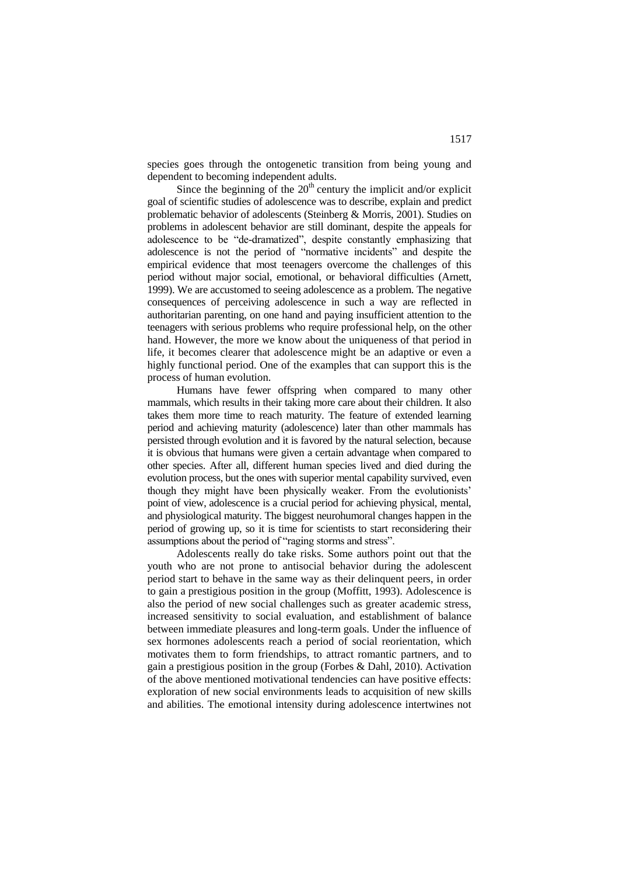species goes through the ontogenetic transition from being young and dependent to becoming independent adults.

Since the beginning of the  $20<sup>th</sup>$  century the implicit and/or explicit goal of scientific studies of adolescence was to describe, explain and predict problematic behavior of adolescents (Steinberg & Morris, 2001). Studies on problems in adolescent behavior are still dominant, despite the appeals for adolescence to be "de-dramatized", despite constantly emphasizing that adolescence is not the period of "normative incidents" and despite the empirical evidence that most teenagers overcome the challenges of this period without major social, emotional, or behavioral difficulties (Arnett, 1999). We are accustomed to seeing adolescence as a problem. The negative consequences of perceiving adolescence in such a way are reflected in authoritarian parenting, on one hand and paying insufficient attention to the teenagers with serious problems who require professional help, on the other hand. However, the more we know about the uniqueness of that period in life, it becomes clearer that adolescence might be an adaptive or even a highly functional period. One of the examples that can support this is the process of human evolution.

Humans have fewer offspring when compared to many other mammals, which results in their taking more care about their children. It also takes them more time to reach maturity. The feature of extended learning period and achieving maturity (adolescence) later than other mammals has persisted through evolution and it is favored by the natural selection, because it is obvious that humans were given a certain advantage when compared to other species. After all, different human species lived and died during the evolution process, but the ones with superior mental capability survived, even though they might have been physically weaker. From the evolutionists' point of view, adolescence is a crucial period for achieving physical, mental, and physiological maturity. The biggest neurohumoral changes happen in the period of growing up, so it is time for scientists to start reconsidering their assumptions about the period of "raging storms and stress".

Adolescents really do take risks. Some authors point out that the youth who are not prone to antisocial behavior during the adolescent period start to behave in the same way as their delinquent peers, in order to gain a prestigious position in the group (Moffitt, 1993). Adolescence is also the period of new social challenges such as greater academic stress, increased sensitivity to social evaluation, and establishment of balance between immediate pleasures and long-term goals. Under the influence of sex hormones adolescents reach a period of social reorientation, which motivates them to form friendships, to attract romantic partners, and to gain a prestigious position in the group (Forbes & Dahl, 2010). Activation of the above mentioned motivational tendencies can have positive effects: exploration of new social environments leads to acquisition of new skills and abilities. The emotional intensity during adolescence intertwines not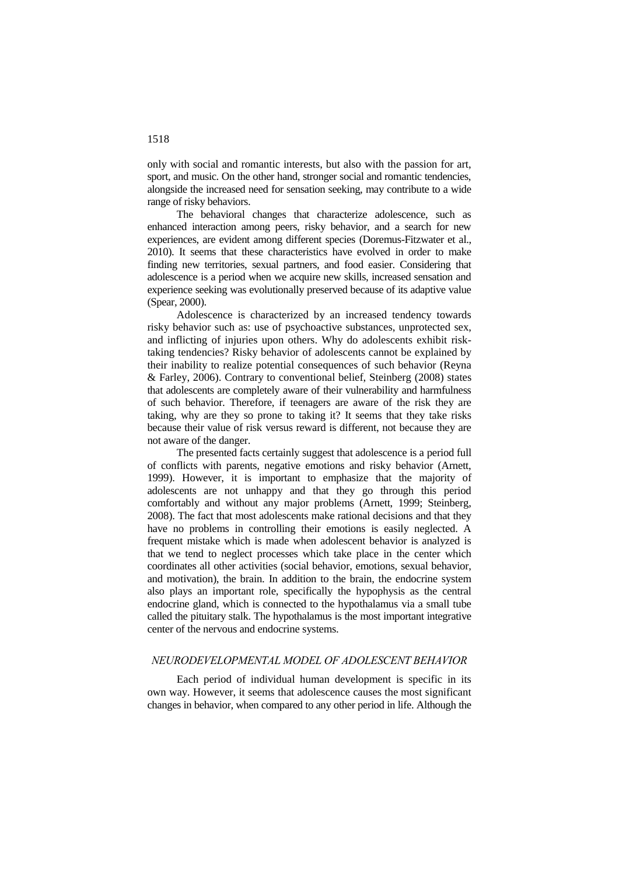only with social and romantic interests, but also with the passion for art, sport, and music. On the other hand, stronger social and romantic tendencies, alongside the increased need for sensation seeking, may contribute to a wide range of risky behaviors.

The behavioral changes that characterize adolescence, such as enhanced interaction among peers, risky behavior, and a search for new experiences, are evident among different species (Doremus-Fitzwater et al., 2010). It seems that these characteristics have evolved in order to make finding new territories, sexual partners, and food easier. Considering that adolescence is a period when we acquire new skills, increased sensation and experience seeking was evolutionally preserved because of its adaptive value (Spear, 2000).

Adolescence is characterized by an increased tendency towards risky behavior such as: use of psychoactive substances, unprotected sex, and inflicting of injuries upon others. Why do adolescents exhibit risktaking tendencies? Risky behavior of adolescents cannot be explained by their inability to realize potential consequences of such behavior (Reyna & Farley, 2006). Contrary to conventional belief, Steinberg (2008) states that adolescents are completely aware of their vulnerability and harmfulness of such behavior. Therefore, if teenagers are aware of the risk they are taking, why are they so prone to taking it? It seems that they take risks because their value of risk versus reward is different, not because they are not aware of the danger.

The presented facts certainly suggest that adolescence is a period full of conflicts with parents, negative emotions and risky behavior (Arnett, 1999). However, it is important to emphasize that the majority of adolescents are not unhappy and that they go through this period comfortably and without any major problems (Arnett, 1999; Steinberg, 2008). The fact that most adolescents make rational decisions and that they have no problems in controlling their emotions is easily neglected. A frequent mistake which is made when adolescent behavior is analyzed is that we tend to neglect processes which take place in the center which coordinates all other activities (social behavior, emotions, sexual behavior, and motivation), the brain. In addition to the brain, the endocrine system also plays an important role, specifically the hypophysis as the central endocrine gland, which is connected to the hypothalamus via a small tube called the pituitary stalk. The hypothalamus is the most important integrative center of the nervous and endocrine systems.

### *NEURODEVELOPMENTAL MODEL OF ADOLESCENT BEHAVIOR*

Each period of individual human development is specific in its own way. However, it seems that adolescence causes the most significant changes in behavior, when compared to any other period in life. Although the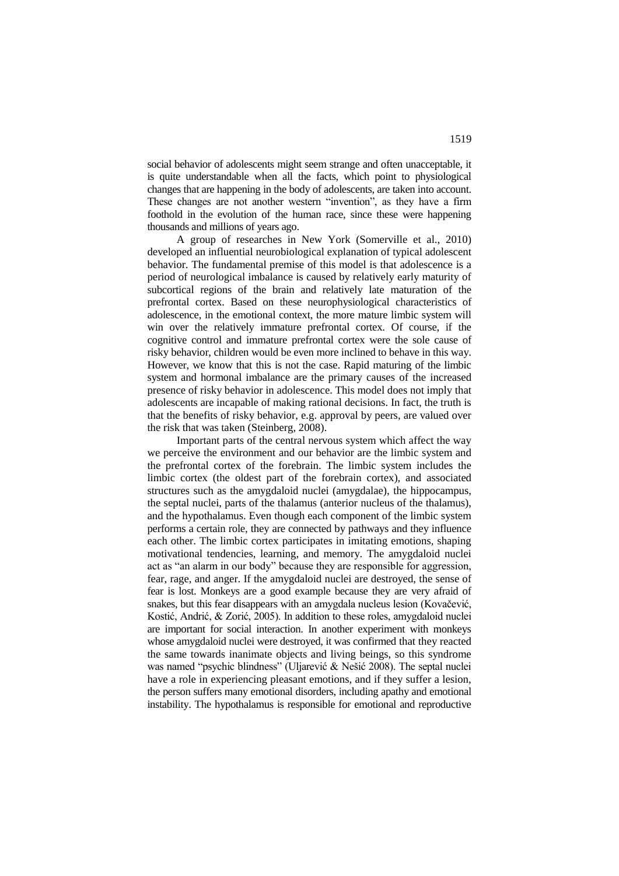social behavior of adolescents might seem strange and often unacceptable, it is quite understandable when all the facts, which point to physiological changes that are happening in the body of adolescents, are taken into account. These changes are not another western "invention", as they have a firm foothold in the evolution of the human race, since these were happening thousands and millions of years ago.

A group of researches in New York (Somerville et al., 2010) developed an influential neurobiological explanation of typical adolescent behavior. The fundamental premise of this model is that adolescence is a period of neurological imbalance is caused by relatively early maturity of subcortical regions of the brain and relatively late maturation of the prefrontal cortex. Based on these neurophysiological characteristics of adolescence, in the emotional context, the more mature limbic system will win over the relatively immature prefrontal cortex. Of course, if the cognitive control and immature prefrontal cortex were the sole cause of risky behavior, children would be even more inclined to behave in this way. However, we know that this is not the case. Rapid maturing of the limbic system and hormonal imbalance are the primary causes of the increased presence of risky behavior in adolescence. This model does not imply that adolescents are incapable of making rational decisions. In fact, the truth is that the benefits of risky behavior, e.g. approval by peers, are valued over the risk that was taken (Steinberg, 2008).

Important parts of the central nervous system which affect the way we perceive the environment and our behavior are the limbic system and the prefrontal cortex of the forebrain. The limbic system includes the limbic cortex (the oldest part of the forebrain cortex), and associated structures such as the amygdaloid nuclei (amygdalae), the hippocampus, the septal nuclei, parts of the thalamus (anterior nucleus of the thalamus), and the hypothalamus. Even though each component of the limbic system performs a certain role, they are connected by pathways and they influence each other. The limbic cortex participates in imitating emotions, shaping motivational tendencies, learning, and memory. The amygdaloid nuclei act as "an alarm in our body" because they are responsible for aggression, fear, rage, and anger. If the amygdaloid nuclei are destroyed, the sense of fear is lost. Monkeys are a good example because they are very afraid of snakes, but this fear disappears with an amygdala nucleus lesion (Kovačević, Kostić, Andrić, & Zorić, 2005). In addition to these roles, amygdaloid nuclei are important for social interaction. In another experiment with monkeys whose amygdaloid nuclei were destroyed, it was confirmed that they reacted the same towards inanimate objects and living beings, so this syndrome was named "psychic blindness" (Uljarević & Nešić 2008). The septal nuclei have a role in experiencing pleasant emotions, and if they suffer a lesion, the person suffers many emotional disorders, including apathy and emotional instability. The hypothalamus is responsible for emotional and reproductive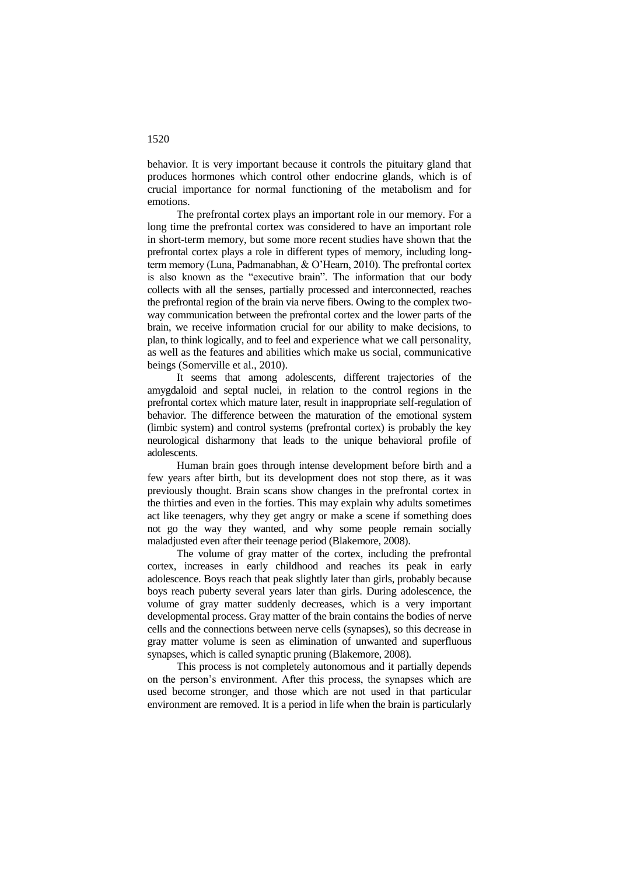behavior. It is very important because it controls the pituitary gland that produces hormones which control other endocrine glands, which is of crucial importance for normal functioning of the metabolism and for emotions.

The prefrontal cortex plays an important role in our memory. For a long time the prefrontal cortex was considered to have an important role in short-term memory, but some more recent studies have shown that the prefrontal cortex plays a role in different types of memory, including longterm memory (Luna, Padmanabhan, & O'Hearn, 2010). The prefrontal cortex is also known as the "executive brain". The information that our body collects with all the senses, partially processed and interconnected, reaches the prefrontal region of the brain via nerve fibers. Owing to the complex twoway communication between the prefrontal cortex and the lower parts of the brain, we receive information crucial for our ability to make decisions, to plan, to think logically, and to feel and experience what we call personality, as well as the features and abilities which make us social, communicative beings (Somerville et al., 2010).

It seems that among adolescents, different trajectories of the amygdaloid and septal nuclei, in relation to the control regions in the prefrontal cortex which mature later, result in inappropriate self-regulation of behavior. The difference between the maturation of the emotional system (limbic system) and control systems (prefrontal cortex) is probably the key neurological disharmony that leads to the unique behavioral profile of adolescents.

Human brain goes through intense development before birth and a few years after birth, but its development does not stop there, as it was previously thought. Brain scans show changes in the prefrontal cortex in the thirties and even in the forties. This may explain why adults sometimes act like teenagers, why they get angry or make a scene if something does not go the way they wanted, and why some people remain socially maladjusted even after their teenage period (Blakemore, 2008).

The volume of gray matter of the cortex, including the prefrontal cortex, increases in early childhood and reaches its peak in early adolescence. Boys reach that peak slightly later than girls, probably because boys reach puberty several years later than girls. During adolescence, the volume of gray matter suddenly decreases, which is a very important developmental process. Gray matter of the brain contains the bodies of nerve cells and the connections between nerve cells (synapses), so this decrease in gray matter volume is seen as elimination of unwanted and superfluous synapses, which is called synaptic pruning (Blakemore, 2008).

This process is not completely autonomous and it partially depends on the person's environment. After this process, the synapses which are used become stronger, and those which are not used in that particular environment are removed. It is a period in life when the brain is particularly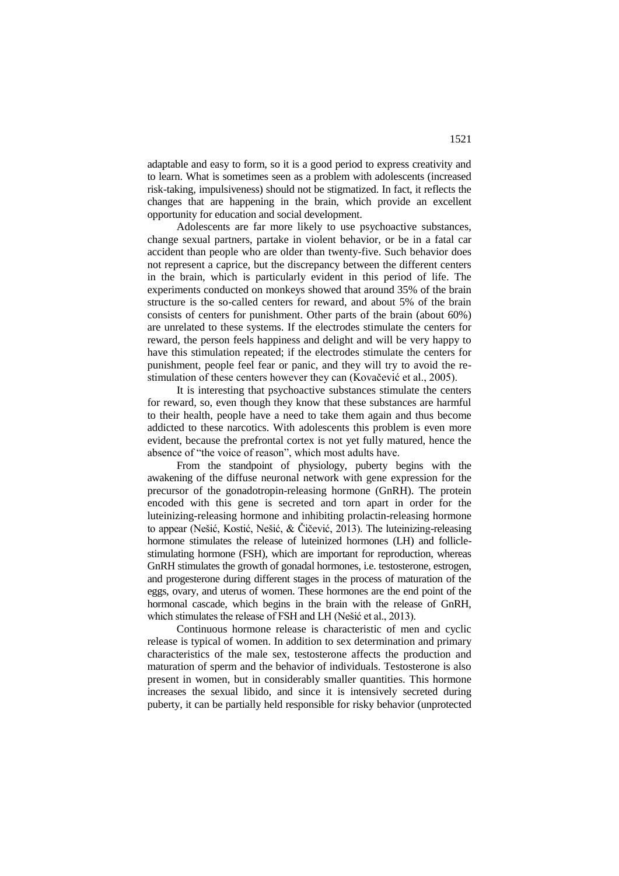adaptable and easy to form, so it is a good period to express creativity and to learn. What is sometimes seen as a problem with adolescents (increased risk-taking, impulsiveness) should not be stigmatized. In fact, it reflects the changes that are happening in the brain, which provide an excellent opportunity for education and social development.

Adolescents are far more likely to use psychoactive substances, change sexual partners, partake in violent behavior, or be in a fatal car accident than people who are older than twenty-five. Such behavior does not represent a caprice, but the discrepancy between the different centers in the brain, which is particularly evident in this period of life. The experiments conducted on monkeys showed that around 35% of the brain structure is the so-called centers for reward, and about 5% of the brain consists of centers for punishment. Other parts of the brain (about 60%) are unrelated to these systems. If the electrodes stimulate the centers for reward, the person feels happiness and delight and will be very happy to have this stimulation repeated; if the electrodes stimulate the centers for punishment, people feel fear or panic, and they will try to avoid the restimulation of these centers however they can (Kovačević et al., 2005).

It is interesting that psychoactive substances stimulate the centers for reward, so, even though they know that these substances are harmful to their health, people have a need to take them again and thus become addicted to these narcotics. With adolescents this problem is even more evident, because the prefrontal cortex is not yet fully matured, hence the absence of "the voice of reason", which most adults have.

From the standpoint of physiology, puberty begins with the awakening of the diffuse neuronal network with gene expression for the precursor of the gonadotropin-releasing hormone (GnRH). The protein encoded with this gene is secreted and torn apart in order for the luteinizing-releasing hormone and inhibiting prolactin-releasing hormone to appear (Nešić, Kostić, Nešić, & Čičević, 2013). The luteinizing-releasing hormone stimulates the release of luteinized hormones (LH) and folliclestimulating hormone (FSH), which are important for reproduction, whereas GnRH stimulates the growth of gonadal hormones, i.e. testosterone, estrogen, and progesterone during different stages in the process of maturation of the eggs, ovary, and uterus of women. These hormones are the end point of the hormonal cascade, which begins in the brain with the release of GnRH, which stimulates the release of FSH and LH (Nešić et al., 2013).

Continuous hormone release is characteristic of men and cyclic release is typical of women. In addition to sex determination and primary characteristics of the male sex, testosterone affects the production and maturation of sperm and the behavior of individuals. Testosterone is also present in women, but in considerably smaller quantities. This hormone increases the sexual libido, and since it is intensively secreted during puberty, it can be partially held responsible for risky behavior (unprotected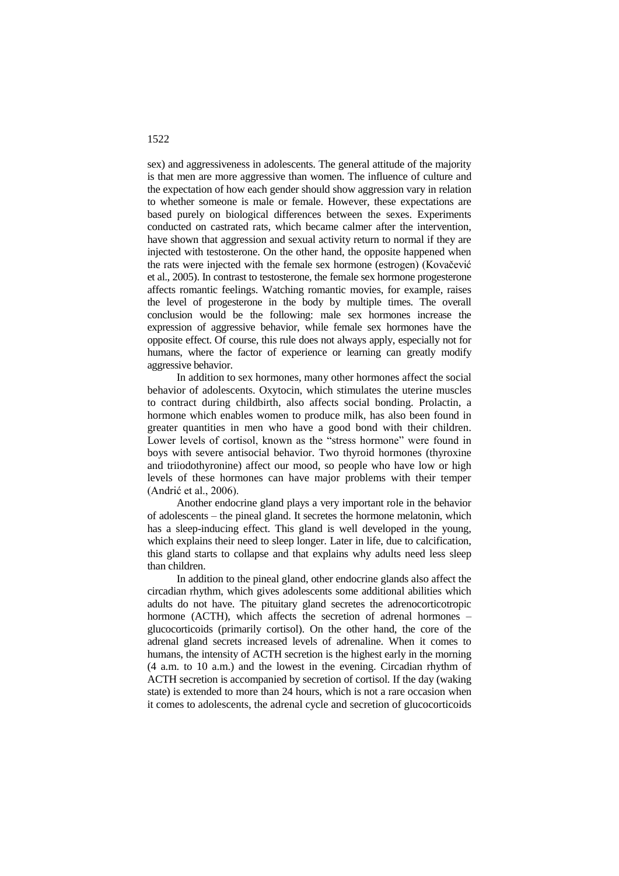sex) and aggressiveness in adolescents. The general attitude of the majority is that men are more aggressive than women. The influence of culture and the expectation of how each gender should show aggression vary in relation to whether someone is male or female. However, these expectations are based purely on biological differences between the sexes. Experiments conducted on castrated rats, which became calmer after the intervention, have shown that aggression and sexual activity return to normal if they are injected with testosterone. On the other hand, the opposite happened when the rats were injected with the female sex hormone (estrogen) (Kovačević et al., 2005). In contrast to testosterone, the female sex hormone progesterone affects romantic feelings. Watching romantic movies, for example, raises the level of progesterone in the body by multiple times. The overall conclusion would be the following: male sex hormones increase the expression of aggressive behavior, while female sex hormones have the opposite effect. Of course, this rule does not always apply, especially not for humans, where the factor of experience or learning can greatly modify aggressive behavior.

In addition to sex hormones, many other hormones affect the social behavior of adolescents. Oxytocin, which stimulates the uterine muscles to contract during childbirth, also affects social bonding. Prolactin, a hormone which enables women to produce milk, has also been found in greater quantities in men who have a good bond with their children. Lower levels of cortisol, known as the "stress hormone" were found in boys with severe antisocial behavior. Two thyroid hormones (thyroxine and triiodothyronine) affect our mood, so people who have low or high levels of these hormones can have major problems with their temper (Andrić et al., 2006).

Another endocrine gland plays a very important role in the behavior of adolescents – the pineal gland. It secretes the hormone melatonin, which has a sleep-inducing effect. This gland is well developed in the young, which explains their need to sleep longer. Later in life, due to calcification, this gland starts to collapse and that explains why adults need less sleep than children.

In addition to the pineal gland, other endocrine glands also affect the circadian rhythm, which gives adolescents some additional abilities which adults do not have. The pituitary gland secretes the adrenocorticotropic hormone (ACTH), which affects the secretion of adrenal hormones – glucocorticoids (primarily cortisol). On the other hand, the core of the adrenal gland secrets increased levels of adrenaline. When it comes to humans, the intensity of ACTH secretion is the highest early in the morning (4 a.m. to 10 a.m.) and the lowest in the evening. Circadian rhythm of ACTH secretion is accompanied by secretion of cortisol. If the day (waking state) is extended to more than 24 hours, which is not a rare occasion when it comes to adolescents, the adrenal cycle and secretion of glucocorticoids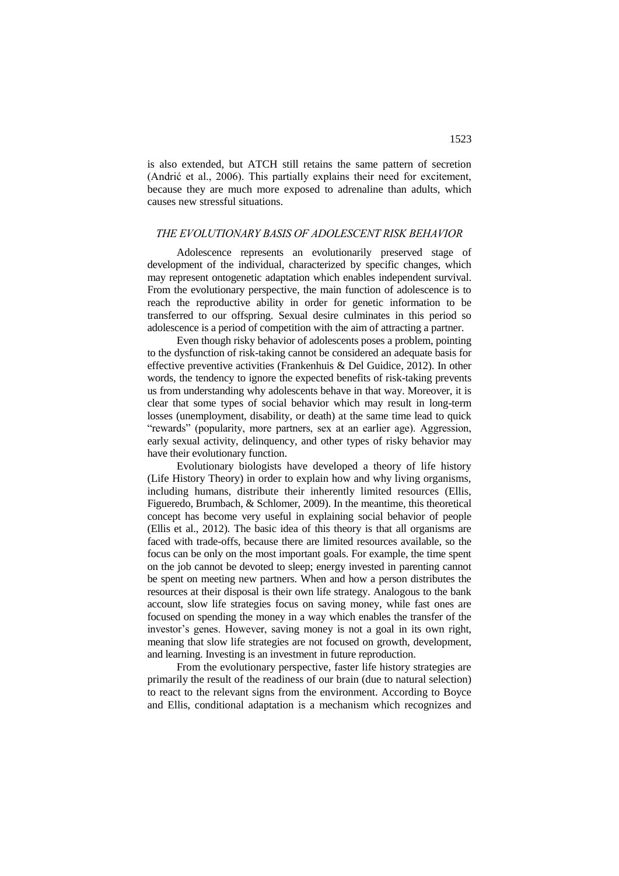is also extended, but ATCH still retains the same pattern of secretion (Andrić et al., 2006). This partially explains their need for excitement, because they are much more exposed to adrenaline than adults, which causes new stressful situations.

### *THE EVOLUTIONARY BASIS OF ADOLESCENT RISK BEHAVIOR*

Adolescence represents an evolutionarily preserved stage of development of the individual, characterized by specific changes, which may represent ontogenetic adaptation which enables independent survival. From the evolutionary perspective, the main function of adolescence is to reach the reproductive ability in order for genetic information to be transferred to our offspring. Sexual desire culminates in this period so adolescence is a period of competition with the aim of attracting a partner.

Even though risky behavior of adolescents poses a problem, pointing to the dysfunction of risk-taking cannot be considered an adequate basis for effective preventive activities (Frankenhuis & Del Guidice, 2012). In other words, the tendency to ignore the expected benefits of risk-taking prevents us from understanding why adolescents behave in that way. Moreover, it is clear that some types of social behavior which may result in long-term losses (unemployment, disability, or death) at the same time lead to quick "rewards" (popularity, more partners, sex at an earlier age). Aggression, early sexual activity, delinquency, and other types of risky behavior may have their evolutionary function.

Evolutionary biologists have developed a theory of life history (Life History Theory) in order to explain how and why living organisms, including humans, distribute their inherently limited resources (Ellis, Figueredo, Brumbach, & Schlomer, 2009). In the meantime, this theoretical concept has become very useful in explaining social behavior of people (Ellis et al., 2012). The basic idea of this theory is that all organisms are faced with trade-offs, because there are limited resources available, so the focus can be only on the most important goals. For example, the time spent on the job cannot be devoted to sleep; energy invested in parenting cannot be spent on meeting new partners. When and how a person distributes the resources at their disposal is their own life strategy. Analogous to the bank account, slow life strategies focus on saving money, while fast ones are focused on spending the money in a way which enables the transfer of the investor's genes. However, saving money is not a goal in its own right, meaning that slow life strategies are not focused on growth, development, and learning. Investing is an investment in future reproduction.

From the evolutionary perspective, faster life history strategies are primarily the result of the readiness of our brain (due to natural selection) to react to the relevant signs from the environment. According to Boyce and Ellis, conditional adaptation is a mechanism which recognizes and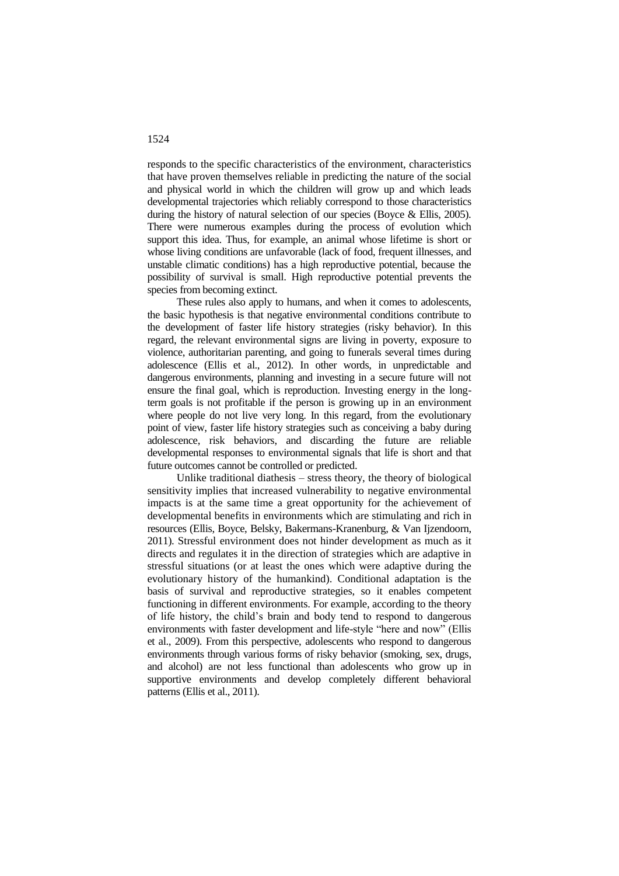responds to the specific characteristics of the environment, characteristics that have proven themselves reliable in predicting the nature of the social and physical world in which the children will grow up and which leads developmental trajectories which reliably correspond to those characteristics during the history of natural selection of our species (Boyce & Ellis, 2005). There were numerous examples during the process of evolution which support this idea. Thus, for example, an animal whose lifetime is short or whose living conditions are unfavorable (lack of food, frequent illnesses, and unstable climatic conditions) has a high reproductive potential, because the possibility of survival is small. High reproductive potential prevents the species from becoming extinct.

These rules also apply to humans, and when it comes to adolescents, the basic hypothesis is that negative environmental conditions contribute to the development of faster life history strategies (risky behavior). In this regard, the relevant environmental signs are living in poverty, exposure to violence, authoritarian parenting, and going to funerals several times during adolescence (Ellis et al., 2012). In other words, in unpredictable and dangerous environments, planning and investing in a secure future will not ensure the final goal, which is reproduction. Investing energy in the longterm goals is not profitable if the person is growing up in an environment where people do not live very long. In this regard, from the evolutionary point of view, faster life history strategies such as conceiving a baby during adolescence, risk behaviors, and discarding the future are reliable developmental responses to environmental signals that life is short and that future outcomes cannot be controlled or predicted.

Unlike traditional diathesis – stress theory, the theory of biological sensitivity implies that increased vulnerability to negative environmental impacts is at the same time a great opportunity for the achievement of developmental benefits in environments which are stimulating and rich in resources (Ellis, Boyce, Belsky, Bakermans-Kranenburg, & Van Ijzendoorn, 2011). Stressful environment does not hinder development as much as it directs and regulates it in the direction of strategies which are adaptive in stressful situations (or at least the ones which were adaptive during the evolutionary history of the humankind). Conditional adaptation is the basis of survival and reproductive strategies, so it enables competent functioning in different environments. For example, according to the theory of life history, the child's brain and body tend to respond to dangerous environments with faster development and life-style "here and now" (Ellis et al., 2009). From this perspective, adolescents who respond to dangerous environments through various forms of risky behavior (smoking, sex, drugs, and alcohol) are not less functional than adolescents who grow up in supportive environments and develop completely different behavioral patterns (Ellis et al., 2011).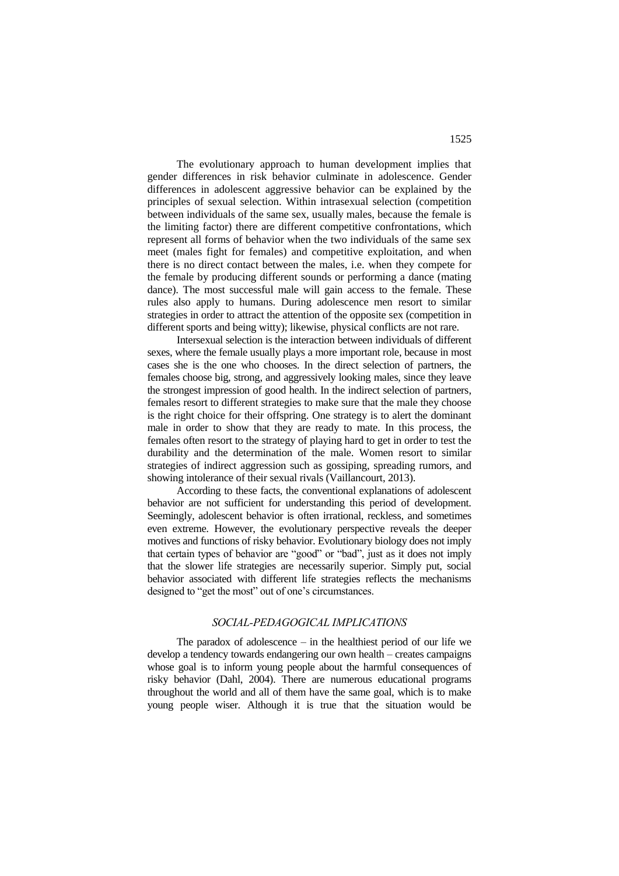The evolutionary approach to human development implies that gender differences in risk behavior culminate in adolescence. Gender differences in adolescent aggressive behavior can be explained by the principles of sexual selection. Within intrasexual selection (competition between individuals of the same sex, usually males, because the female is the limiting factor) there are different competitive confrontations, which represent all forms of behavior when the two individuals of the same sex meet (males fight for females) and competitive exploitation, and when there is no direct contact between the males, i.e. when they compete for the female by producing different sounds or performing a dance (mating dance). The most successful male will gain access to the female. These rules also apply to humans. During adolescence men resort to similar strategies in order to attract the attention of the opposite sex (competition in different sports and being witty); likewise, physical conflicts are not rare.

Intersexual selection is the interaction between individuals of different sexes, where the female usually plays a more important role, because in most cases she is the one who chooses. In the direct selection of partners, the females choose big, strong, and aggressively looking males, since they leave the strongest impression of good health. In the indirect selection of partners, females resort to different strategies to make sure that the male they choose is the right choice for their offspring. One strategy is to alert the dominant male in order to show that they are ready to mate. In this process, the females often resort to the strategy of playing hard to get in order to test the durability and the determination of the male. Women resort to similar strategies of indirect aggression such as gossiping, spreading rumors, and showing intolerance of their sexual rivals (Vaillancourt, 2013).

According to these facts, the conventional explanations of adolescent behavior are not sufficient for understanding this period of development. Seemingly, adolescent behavior is often irrational, reckless, and sometimes even extreme. However, the evolutionary perspective reveals the deeper motives and functions of risky behavior. Evolutionary biology does not imply that certain types of behavior are "good" or "bad", just as it does not imply that the slower life strategies are necessarily superior. Simply put, social behavior associated with different life strategies reflects the mechanisms designed to "get the most" out of one's circumstances.

#### *SOCIAL-PEDAGOGICAL IMPLICATIONS*

The paradox of adolescence  $-$  in the healthiest period of our life we develop a tendency towards endangering our own health – creates campaigns whose goal is to inform young people about the harmful consequences of risky behavior (Dahl, 2004). There are numerous educational programs throughout the world and all of them have the same goal, which is to make young people wiser. Although it is true that the situation would be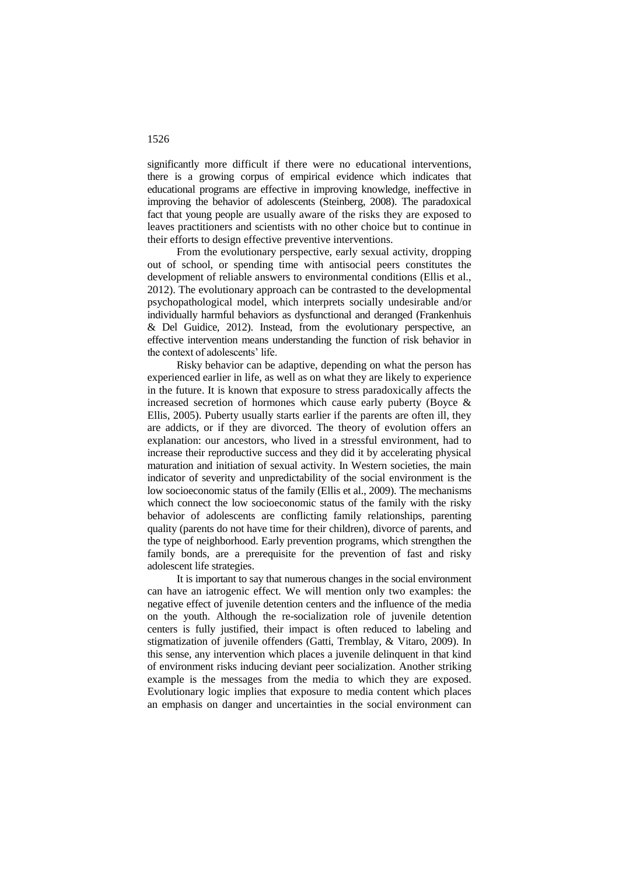significantly more difficult if there were no educational interventions, there is a growing corpus of empirical evidence which indicates that educational programs are effective in improving knowledge, ineffective in improving the behavior of adolescents (Steinberg, 2008). The paradoxical fact that young people are usually aware of the risks they are exposed to leaves practitioners and scientists with no other choice but to continue in their efforts to design effective preventive interventions.

From the evolutionary perspective, early sexual activity, dropping out of school, or spending time with antisocial peers constitutes the development of reliable answers to environmental conditions (Ellis et al., 2012). The evolutionary approach can be contrasted to the developmental psychopathological model, which interprets socially undesirable and/or individually harmful behaviors as dysfunctional and deranged (Frankenhuis & Del Guidice, 2012). Instead, from the evolutionary perspective, an effective intervention means understanding the function of risk behavior in the context of adolescents' life.

Risky behavior can be adaptive, depending on what the person has experienced earlier in life, as well as on what they are likely to experience in the future. It is known that exposure to stress paradoxically affects the increased secretion of hormones which cause early puberty (Boyce & Ellis, 2005). Puberty usually starts earlier if the parents are often ill, they are addicts, or if they are divorced. The theory of evolution offers an explanation: our ancestors, who lived in a stressful environment, had to increase their reproductive success and they did it by accelerating physical maturation and initiation of sexual activity. In Western societies, the main indicator of severity and unpredictability of the social environment is the low socioeconomic status of the family (Ellis et al., 2009). The mechanisms which connect the low socioeconomic status of the family with the risky behavior of adolescents are conflicting family relationships, parenting quality (parents do not have time for their children), divorce of parents, and the type of neighborhood. Early prevention programs, which strengthen the family bonds, are a prerequisite for the prevention of fast and risky adolescent life strategies.

It is important to say that numerous changes in the social environment can have an iatrogenic effect. We will mention only two examples: the negative effect of juvenile detention centers and the influence of the media on the youth. Although the re-socialization role of juvenile detention centers is fully justified, their impact is often reduced to labeling and stigmatization of juvenile offenders (Gatti, Tremblay, & Vitaro, 2009). In this sense, any intervention which places a juvenile delinquent in that kind of environment risks inducing deviant peer socialization. Another striking example is the messages from the media to which they are exposed. Evolutionary logic implies that exposure to media content which places an emphasis on danger and uncertainties in the social environment can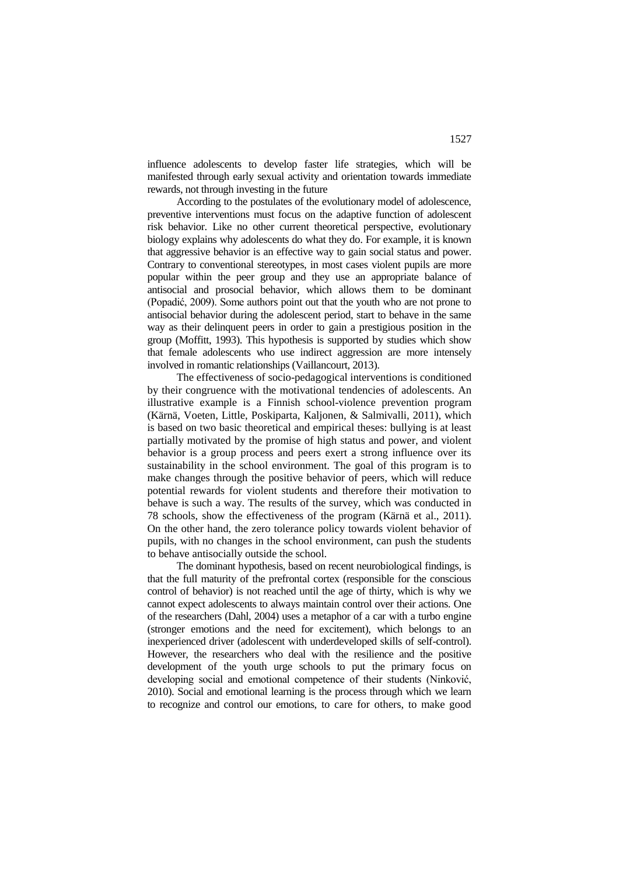influence adolescents to develop faster life strategies, which will be manifested through early sexual activity and orientation towards immediate rewards, not through investing in the future

According to the postulates of the evolutionary model of adolescence, preventive interventions must focus on the adaptive function of adolescent risk behavior. Like no other current theoretical perspective, evolutionary biology explains why adolescents do what they do. For example, it is known that aggressive behavior is an effective way to gain social status and power. Contrary to conventional stereotypes, in most cases violent pupils are more popular within the peer group and they use an appropriate balance of antisocial and prosocial behavior, which allows them to be dominant (Popadić, 2009). Some authors point out that the youth who are not prone to antisocial behavior during the adolescent period, start to behave in the same way as their delinquent peers in order to gain a prestigious position in the group (Moffitt, 1993). This hypothesis is supported by studies which show that female adolescents who use indirect aggression are more intensely involved in romantic relationships (Vaillancourt, 2013).

The effectiveness of socio-pedagogical interventions is conditioned by their congruence with the motivational tendencies of adolescents. An illustrative example is a Finnish school-violence prevention program (Kärnä, Voeten, Little, Poskiparta, Kaljonen, & Salmivalli, 2011), which is based on two basic theoretical and empirical theses: bullying is at least partially motivated by the promise of high status and power, and violent behavior is a group process and peers exert a strong influence over its sustainability in the school environment. The goal of this program is to make changes through the positive behavior of peers, which will reduce potential rewards for violent students and therefore their motivation to behave is such a way. The results of the survey, which was conducted in 78 schools, show the effectiveness of the program (Kärnä et al., 2011). On the other hand, the zero tolerance policy towards violent behavior of pupils, with no changes in the school environment, can push the students to behave antisocially outside the school.

The dominant hypothesis, based on recent neurobiological findings, is that the full maturity of the prefrontal cortex (responsible for the conscious control of behavior) is not reached until the age of thirty, which is why we cannot expect adolescents to always maintain control over their actions. One of the researchers (Dahl, 2004) uses a metaphor of a car with a turbo engine (stronger emotions and the need for excitement), which belongs to an inexperienced driver (adolescent with underdeveloped skills of self-control). However, the researchers who deal with the resilience and the positive development of the youth urge schools to put the primary focus on developing social and emotional competence of their students (Ninković, 2010). Social and emotional learning is the process through which we learn to recognize and control our emotions, to care for others, to make good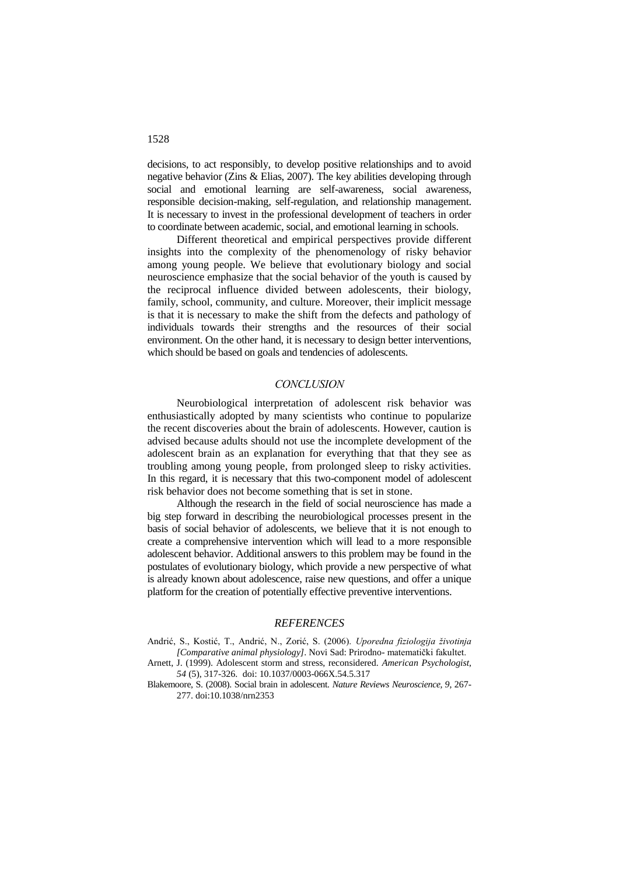decisions, to act responsibly, to develop positive relationships and to avoid negative behavior (Zins & Elias, 2007). The key abilities developing through social and emotional learning are self-awareness, social awareness, responsible decision-making, self-regulation, and relationship management. It is necessary to invest in the professional development of teachers in order to coordinate between academic, social, and emotional learning in schools.

Different theoretical and empirical perspectives provide different insights into the complexity of the phenomenology of risky behavior among young people. We believe that evolutionary biology and social neuroscience emphasize that the social behavior of the youth is caused by the reciprocal influence divided between adolescents, their biology, family, school, community, and culture. Moreover, their implicit message is that it is necessary to make the shift from the defects and pathology of individuals towards their strengths and the resources of their social environment. On the other hand, it is necessary to design better interventions, which should be based on goals and tendencies of adolescents.

#### *CONCLUSION*

Neurobiological interpretation of adolescent risk behavior was enthusiastically adopted by many scientists who continue to popularize the recent discoveries about the brain of adolescents. However, caution is advised because adults should not use the incomplete development of the adolescent brain as an explanation for everything that that they see as troubling among young people, from prolonged sleep to risky activities. In this regard, it is necessary that this two-component model of adolescent risk behavior does not become something that is set in stone.

Although the research in the field of social neuroscience has made a big step forward in describing the neurobiological processes present in the basis of social behavior of adolescents, we believe that it is not enough to create a comprehensive intervention which will lead to a more responsible adolescent behavior. Additional answers to this problem may be found in the postulates of evolutionary biology, which provide a new perspective of what is already known about adolescence, raise new questions, and offer a unique platform for the creation of potentially effective preventive interventions.

### *REFERENCES*

- Andrić, S., Kostić, T., Andrić, N., Zorić, S. (2006). *Uporedna fiziologija životinja [Comparative animal physiology]*. Novi Sad: Prirodno- matematički fakultet.
- Arnett, J. (1999). Adolescent storm and stress, reconsidered. *American Psychologist, 54* (5), 317-326. doi: [10.1037/0003-066X.54.5.317](http://psycnet.apa.org/doi/10.1037/0003-066X.54.5.317)
- Blakemoore, S. (2008). Social brain in adolescent*. Nature Reviews Neuroscience, 9*, 267- 277. doi:10.1038/nrn2353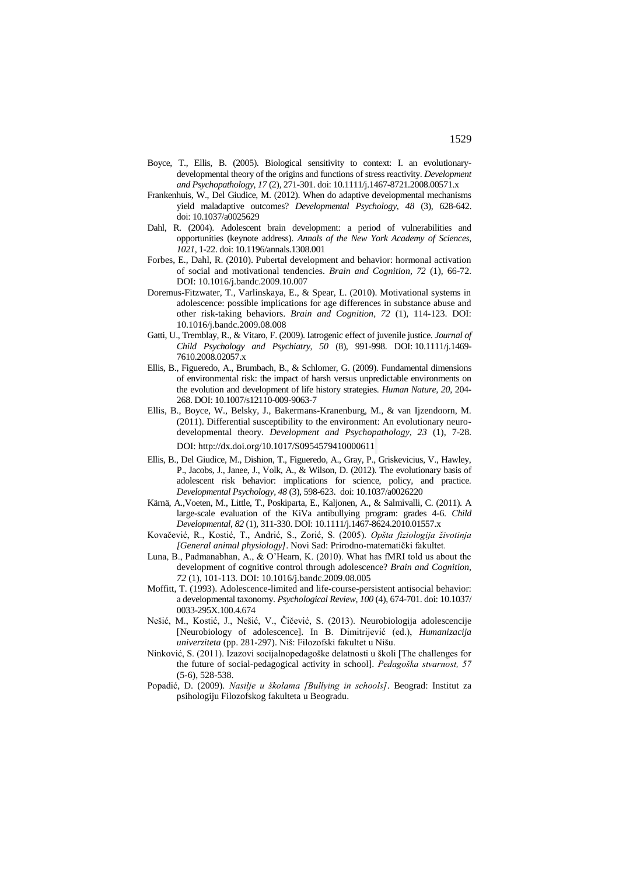- Boyce, T., Ellis, B. (2005). Biological sensitivity to context: I. an evolutionarydevelopmental theory of the origins and functions of stress reactivity. *Development and Psychopathology, 17* (2)*,* 271-301. doi: 10.1111/j.1467-8721.2008.00571.x
- Frankenhuis, W., Del Giudice, M. (2012). When do adaptive developmental mechanisms yield maladaptive outcomes? *Developmental Psychology, 48* (3), 628-642. doi: [10.1037/a0025629](http://psycnet.apa.org/doi/10.1037/a0025629)
- Dahl, R. (2004). Adolescent brain development: a period of vulnerabilities and opportunities (keynote address). *Annals of the New York Academy of Sciences, 1021,* 1-22. doi: 10.1196/annals.1308.001
- Forbes, E., Dahl, R. (2010). Pubertal development and behavior: hormonal activation of social and motivational tendencies. *Brain and Cognition, 72* (1), 66-72. DOI: 10.1016/j.bandc.2009.10.007
- Doremus-Fitzwater, T., Varlinskaya, E., & Spear, L. (2010). Motivational systems in adolescence: possible implications for age differences in substance abuse and other risk-taking behaviors. *Brain and Cognition, 72* (1), 114-123. DOI: 10.1016/j.bandc.2009.08.008
- Gatti, U., Tremblay, R., & Vitaro, F. (2009). Iatrogenic effect of juvenile justice. *Journal of Child Psychology and Psychiatry, 50* (8), 991-998. DOI: 10.1111/j.1469- 7610.2008.02057.x
- Ellis, B., Figueredo, A., Brumbach, B., & Schlomer, G. (2009). Fundamental dimensions of environmental risk: the impact of harsh versus unpredictable environments on the evolution and development of life history strategies. *Human Nature, 20*, 204- 268. DOI: 10.1007/s12110-009-9063-7
- Ellis, B., Boyce, W., Belsky, J., Bakermans-Kranenburg, M., & van Ijzendoorn, M. (2011). Differential susceptibility to the environment: An evolutionary neurodevelopmental theory. *Development and Psychopathology, 23* (1), 7-28. DOI: <http://dx.doi.org/10.1017/S0954579410000611>
- Ellis, B., Del Giudice, M., Dishion, T., Figueredo, A., Gray, P., Griskevicius, V., Hawley, P., Jacobs, J., Janee, J., Volk, A., & Wilson, D. (2012). The evolutionary basis of adolescent risk behavior: implications for science, policy, and practice. *Developmental Psychology, 48* (3), 598-623. doi: [10.1037/a0026220](http://psycnet.apa.org/doi/10.1037/a0026220)
- Kärnä, A.,Voeten, M., Little, T., Poskiparta, E., Kaljonen, A., & Salmivalli, C. (2011). A large-scale evaluation of the KiVa antibullying program: grades 4-6. *Child Developmental*, *82* (1), 311-330. DOI: 10.1111/j.1467-8624.2010.01557.x
- Kovačević, R., Kostić, T., Andrić, S., Zorić, S. (2005). *Opšta fiziologija životinja [General animal physiology]*. Novi Sad: Prirodno-matematički fakultet.
- Luna, B., Padmanabhan, A., & O'Hearn, K. (2010). What has fMRI told us about the development of cognitive control through adolescence? *Brain and Cognition, 72* (1), 101-113. DOI: 10.1016/j.bandc.2009.08.005
- Moffitt, T. (1993). Adolescence-limited and life-course-persistent antisocial behavior: a developmental taxonomy. *Psychological Review, 100* (4), 674-701. doi: [10.1037/](http://psycnet.apa.org/doi/10.1037/0033-295X.100.4.674) [0033-295X.100.4.674](http://psycnet.apa.org/doi/10.1037/0033-295X.100.4.674)
- Nešić, M., Kostić, J., Nešić, V., Čičević, S. (2013). Neurobiologija adolescencije [Neurobiology of adolescence]. In B. Dimitrijević (ed.), *Humanizacija univerziteta* (pp. 281-297). Niš: Filozofski fakultet u Nišu.
- Ninković, S. (2011). Izazovi socijalnopedagoške delatnosti u školi [The challenges for the future of social-pedagogical activity in school]. *Pedagoška stvarnost, 57*  (5-6), 528-538.
- Popadić, D. (2009). *Nasilje u školama [Bullying in schools]*. Beograd: Institut za psihologiju Filozofskog fakulteta u Beogradu.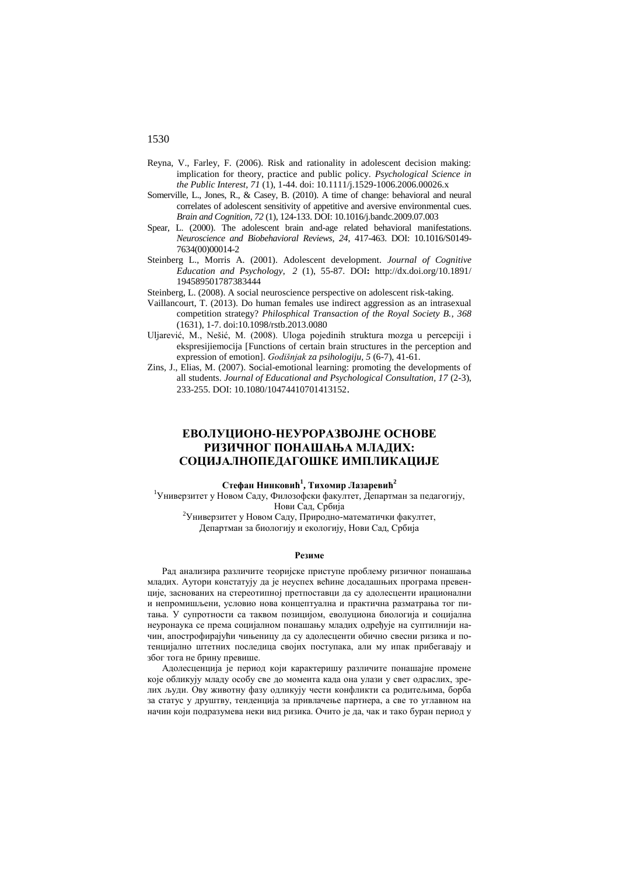- Reyna, V., Farley, F. (2006). Risk and rationality in adolescent decision making: implication for theory, practice and public policy. *Psychological Science in the Public Interest, 71* (1), 1-44. doi: 10.1111/j.1529-1006.2006.00026.x
- Somerville, L., Jones, R., & Casey, B. (2010). A time of change: behavioral and neural correlates of adolescent sensitivity of appetitive and aversive environmental cues. *Brain and Cognition, 72* (1), 124-133. DOI: 10.1016/j.bandc.2009.07.003
- Spear, L. (2000). The adolescent brain and-age related behavioral manifestations. *Neuroscience and Biobehavioral Reviews, 24*, 417-463. DOI: 10.1016/S0149- 7634(00)00014-2
- Steinberg L., Morris A. (2001). Adolescent development. *[Journal of Cognitive](http://www.ingentaconnect.com/content/springer/jcep)  [Education and Psychology](http://www.ingentaconnect.com/content/springer/jcep)*, *2* (1), 55-87. DOI**:** http://dx.doi.org/10.1891/ 194589501787383444

Steinberg, L. (2008). A social neuroscience perspective on adolescent risk-taking.

- Vaillancourt, T. (2013). Do human females use indirect aggression as an intrasexual competition strategy? *Philosphical Transaction of the Royal Society B.*, *368* (1631), 1-7. doi:10.1098/rstb.2013.0080
- Uljarević, M., Nešić, M. (2008). Uloga pojedinih struktura mozga u percepciji i ekspresijiemocija [Functions of certain brain structures in the perception and expression of emotion]. *Godišnjak za psihologiju, 5* (6-7), 41-61.
- Zins, J., Elias, M. (2007). Social-emotional learning: promoting the developments of all students. *Journal of Educational and Psychological Consultation, 17* (2-3), 233-255. DOI: 10.1080/10474410701413152.

## **ЕВОЛУЦИОНО-НЕУРОРАЗВОЈНЕ ОСНОВЕ РИЗИЧНОГ ПОНАШАЊА МЛАДИХ: СОЦИЈАЛНОПЕДАГОШКЕ ИМПЛИКАЦИЈЕ**

#### **Стефан Нинковић<sup>1</sup> , Тихомир Лазаревић<sup>2</sup>**

<sup>1</sup>Универзитет у Новом Саду, Филозофски факултет, Департман за педагогију, Нови Сад, Србија

<sup>2</sup>Универзитет у Новом Саду, Природно-математички факултет, Департман за биологију и екологију, Нови Сад, Србија

#### **Резиме**

Рад анализира различите теоријске приступе проблему ризичног понашања младих. Аутори констатују да је неуспех већине досадашњих програма превенције, заснованих на стереотипној претпоставци да су адолесценти ирационални и непромишљени, условио нова концептуална и практична разматрања тог питања. У супротности са таквом позицијом, еволуциона биологија и социјална неуронаука се према социјалном понашању младих одређује на суптилнији начин, апострофирајући чињеницу да су адолесценти обично свесни ризика и потенцијално штетних последица својих поступака, али му ипак прибегавају и због тога не брину превише.

Адолесценција је период који карактеришу различите понашајне промене које обликују младу особу све до момента када она улази у свет одраслих, зрелих људи. Ову животну фазу одликују чести конфликти са родитељима, борба за статус у друштву, тенденција за привлачење партнера, а све то углавном на начин који подразумева неки вид ризика. Очито је да, чак и тако буран период у